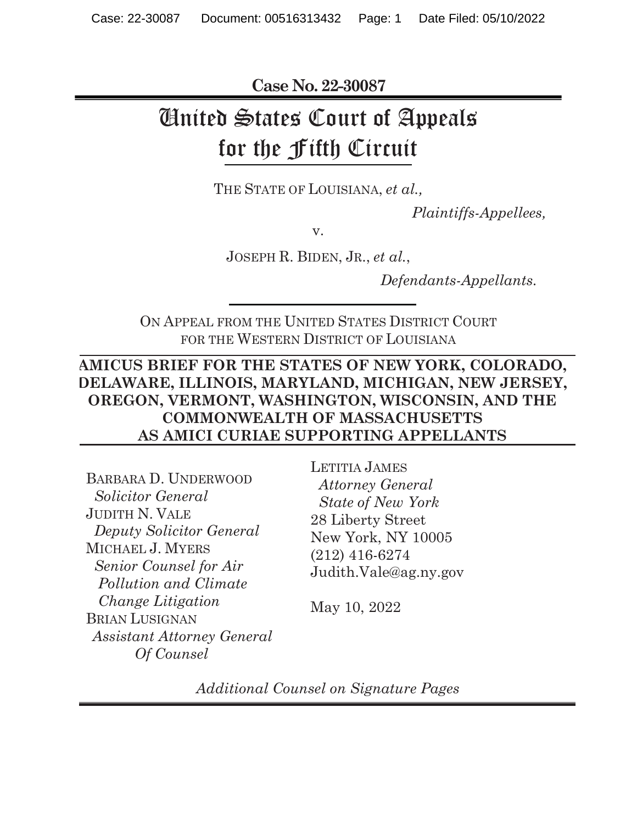**Case No. 22-30087** 

# United States Court of Appeals for the Fifth Circuit

THE STATE OF LOUISIANA, *et al.,* 

*Plaintiffs-Appellees,*

v.

JOSEPH R. BIDEN, JR., *et al.*,

*Defendants-Appellants.* 

ON APPEAL FROM THE UNITED STATES DISTRICT COURT FOR THE WESTERN DISTRICT OF LOUISIANA

### **AMICUS BRIEF FOR THE STATES OF NEW YORK, COLORADO, DELAWARE, ILLINOIS, MARYLAND, MICHIGAN, NEW JERSEY, OREGON, VERMONT, WASHINGTON, WISCONSIN, AND THE COMMONWEALTH OF MASSACHUSETTS AS AMICI CURIAE SUPPORTING APPELLANTS**

BARBARA D. UNDERWOOD  *Solicitor General*  JUDITH N. VALE  *Deputy Solicitor General*  MICHAEL J. MYERS *Senior Counsel for Air Pollution and Climate Change Litigation*  BRIAN LUSIGNAN *Assistant Attorney General Of Counsel*

LETITIA JAMES  *Attorney General State of New York*  28 Liberty Street New York, NY 10005 (212) 416-6274 Judith.Vale@ag.ny.gov

May 10, 2022

*Additional Counsel on Signature Pages*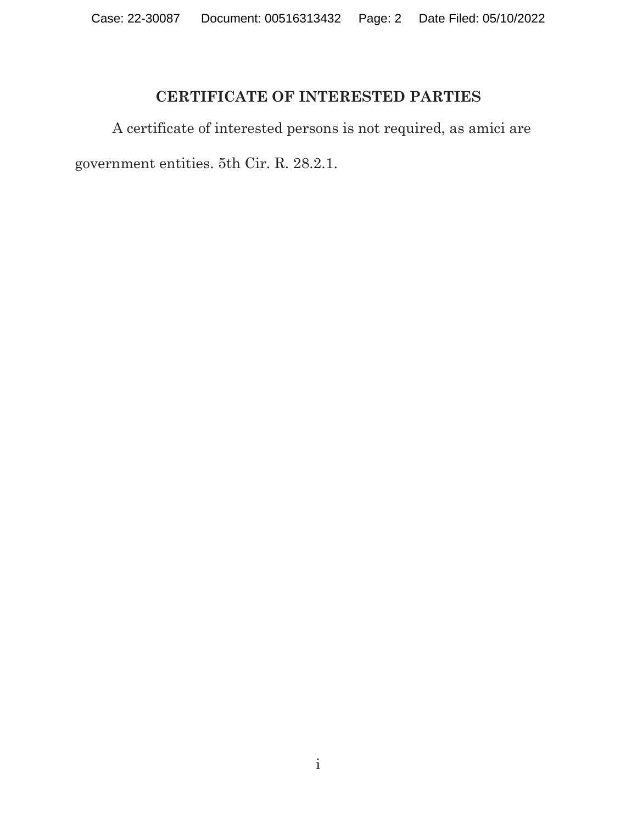### **CERTIFICATE OF INTERESTED PARTIES**

A certificate of interested persons is not required, as amici are government entities. 5th Cir. R. 28.2.1.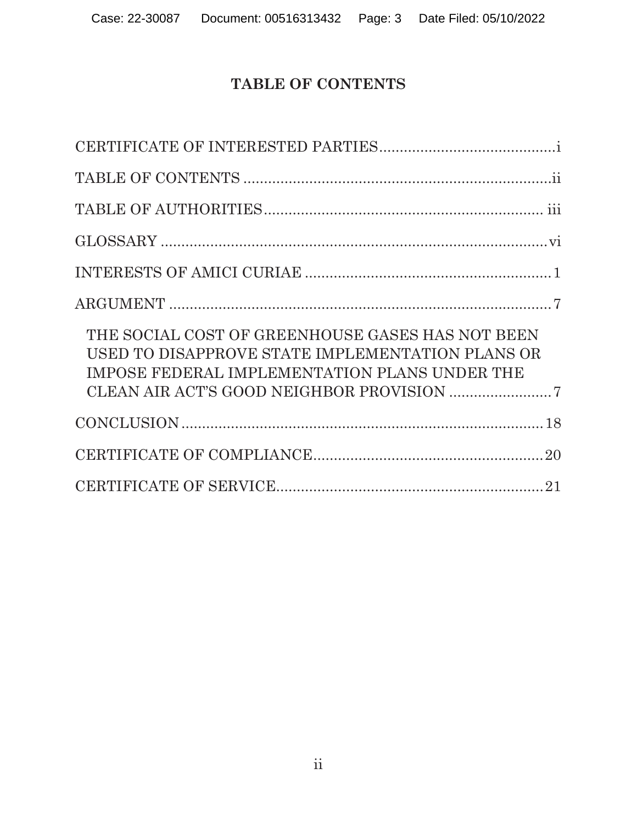# **TABLE OF CONTENTS**

| THE SOCIAL COST OF GREENHOUSE GASES HAS NOT BEEN<br>USED TO DISAPPROVE STATE IMPLEMENTATION PLANS OR<br>IMPOSE FEDERAL IMPLEMENTATION PLANS UNDER THE |
|-------------------------------------------------------------------------------------------------------------------------------------------------------|
|                                                                                                                                                       |
|                                                                                                                                                       |
|                                                                                                                                                       |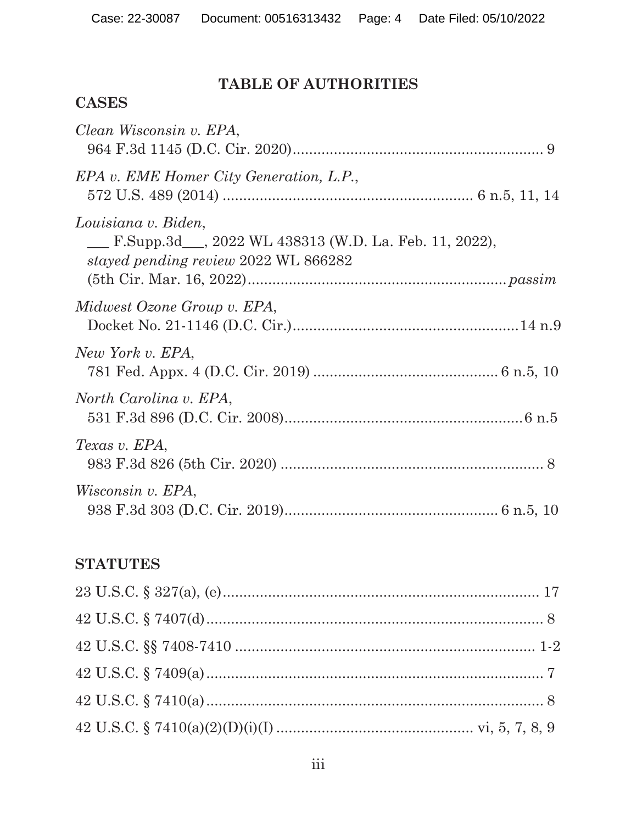## **TABLE OF AUTHORITIES**

### **CASES**

| Clean Wisconsin v. EPA,                                                                                               |
|-----------------------------------------------------------------------------------------------------------------------|
| EPA v. EME Homer City Generation, L.P.,                                                                               |
| Louisiana v. Biden,<br>F.Supp.3d __, 2022 WL 438313 (W.D. La. Feb. 11, 2022),<br>stayed pending review 2022 WL 866282 |
| Midwest Ozone Group v. EPA,                                                                                           |
| New York v. EPA,                                                                                                      |
| North Carolina v. EPA,                                                                                                |
| Texas v. EPA,                                                                                                         |
| Wisconsin v. EPA,                                                                                                     |

# **STATUTES**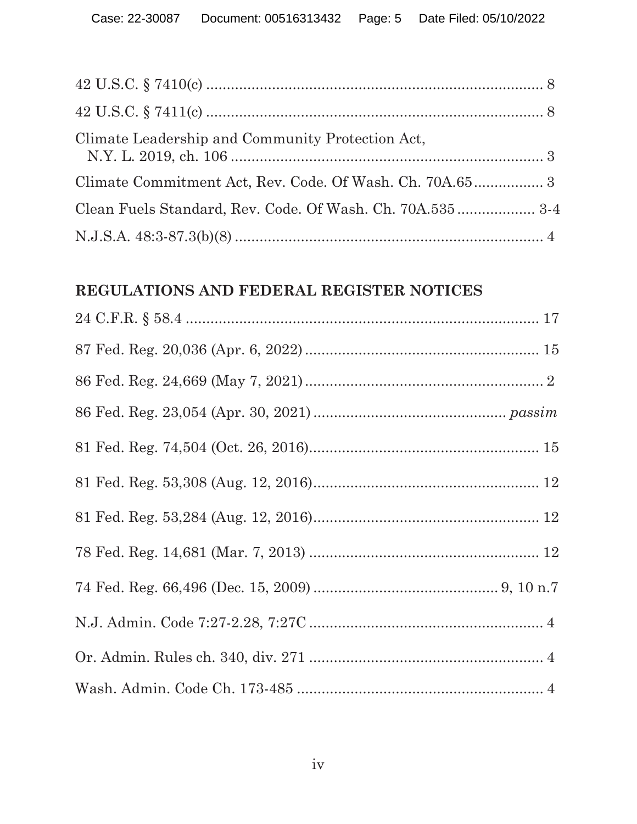| Climate Leadership and Community Protection Act,          |  |
|-----------------------------------------------------------|--|
|                                                           |  |
| Clean Fuels Standard, Rev. Code. Of Wash. Ch. 70A.535 3-4 |  |
|                                                           |  |

### **REGULATIONS AND FEDERAL REGISTER NOTICES**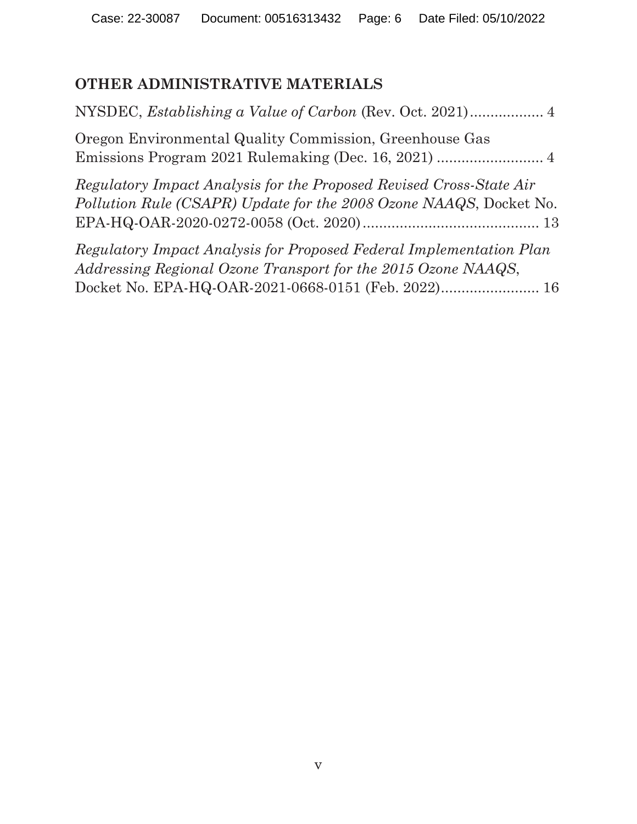# **OTHER ADMINISTRATIVE MATERIALS**

| Oregon Environmental Quality Commission, Greenhouse Gas                                                                                                                                     |
|---------------------------------------------------------------------------------------------------------------------------------------------------------------------------------------------|
| Regulatory Impact Analysis for the Proposed Revised Cross-State Air<br>Pollution Rule (CSAPR) Update for the 2008 Ozone NAAQS, Docket No.                                                   |
| Regulatory Impact Analysis for Proposed Federal Implementation Plan<br>Addressing Regional Ozone Transport for the 2015 Ozone NAAQS,<br>Docket No. EPA-HQ-OAR-2021-0668-0151 (Feb. 2022) 16 |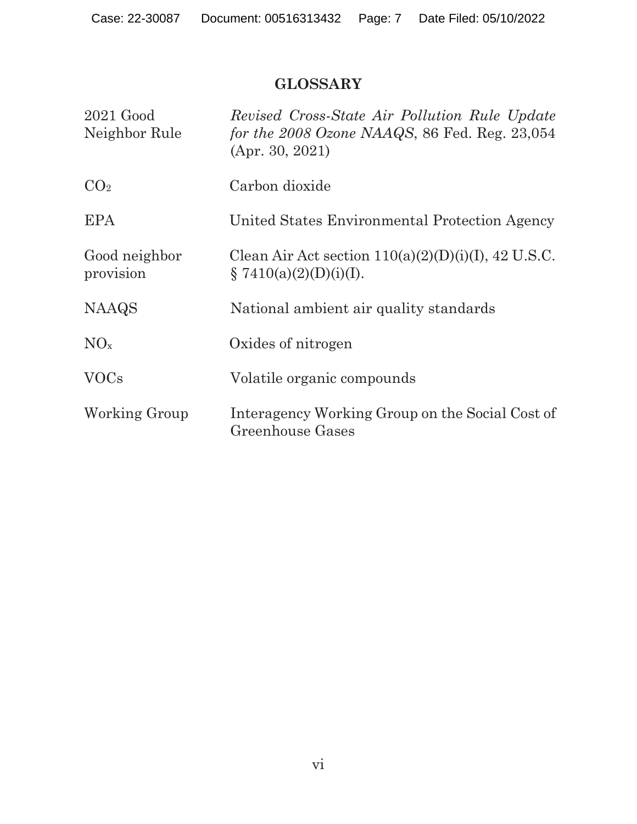### **GLOSSARY**

| $2021$ Good<br>Neighbor Rule | Revised Cross-State Air Pollution Rule Update<br>for the $2008$ Ozone NAAQS, 86 Fed. Reg. $23,054$<br>(Apr. 30, 2021) |
|------------------------------|-----------------------------------------------------------------------------------------------------------------------|
| CO <sub>2</sub>              | Carbon dioxide                                                                                                        |
| <b>EPA</b>                   | United States Environmental Protection Agency                                                                         |
| Good neighbor<br>provision   | Clean Air Act section $110(a)(2)(D)(i)(I)$ , 42 U.S.C.<br>$\{7410(a)(2)(D)(i)(I).$                                    |
| <b>NAAQS</b>                 | National ambient air quality standards                                                                                |
| $NO_{x}$                     | Oxides of nitrogen                                                                                                    |
| <b>VOCs</b>                  | Volatile organic compounds                                                                                            |
| Working Group                | Interagency Working Group on the Social Cost of<br>Greenhouse Gases                                                   |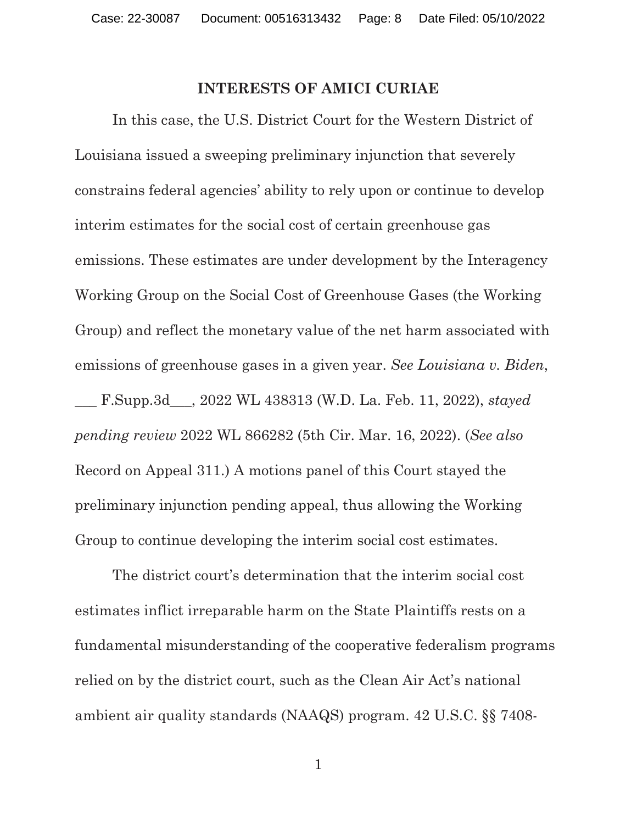#### **INTERESTS OF AMICI CURIAE**

 In this case, the U.S. District Court for the Western District of Louisiana issued a sweeping preliminary injunction that severely constrains federal agencies' ability to rely upon or continue to develop interim estimates for the social cost of certain greenhouse gas emissions. These estimates are under development by the Interagency Working Group on the Social Cost of Greenhouse Gases (the Working Group) and reflect the monetary value of the net harm associated with emissions of greenhouse gases in a given year. *See Louisiana v. Biden*, \_\_\_ F.Supp.3d\_\_\_, 2022 WL 438313 (W.D. La. Feb. 11, 2022), *stayed pending review* 2022 WL 866282 (5th Cir. Mar. 16, 2022). (*See also*  Record on Appeal 311.) A motions panel of this Court stayed the preliminary injunction pending appeal, thus allowing the Working Group to continue developing the interim social cost estimates.

The district court's determination that the interim social cost estimates inflict irreparable harm on the State Plaintiffs rests on a fundamental misunderstanding of the cooperative federalism programs relied on by the district court, such as the Clean Air Act's national ambient air quality standards (NAAQS) program. 42 U.S.C. §§ 7408-

1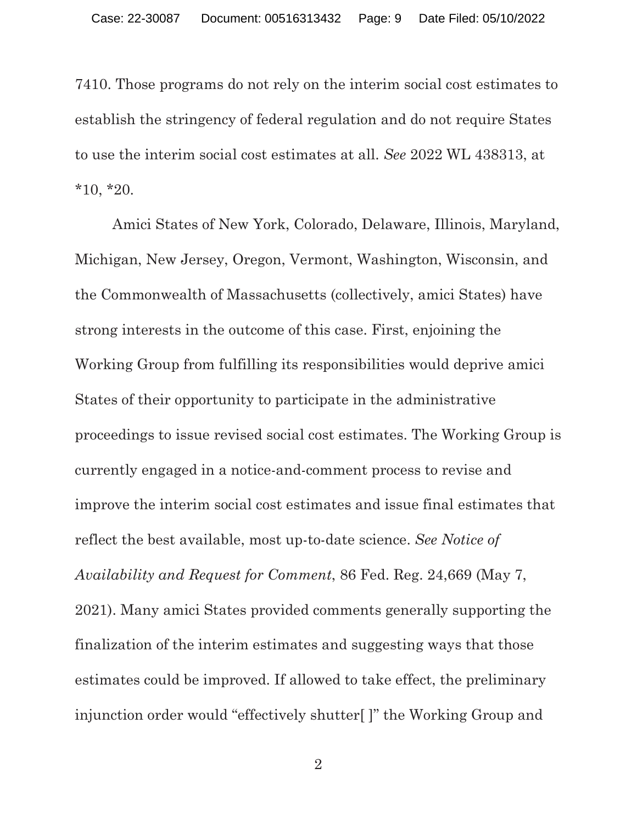7410. Those programs do not rely on the interim social cost estimates to establish the stringency of federal regulation and do not require States to use the interim social cost estimates at all. *See* 2022 WL 438313, at  $*10, *20.$ 

Amici States of New York, Colorado, Delaware, Illinois, Maryland, Michigan, New Jersey, Oregon, Vermont, Washington, Wisconsin, and the Commonwealth of Massachusetts (collectively, amici States) have strong interests in the outcome of this case. First, enjoining the Working Group from fulfilling its responsibilities would deprive amici States of their opportunity to participate in the administrative proceedings to issue revised social cost estimates. The Working Group is currently engaged in a notice-and-comment process to revise and improve the interim social cost estimates and issue final estimates that reflect the best available, most up-to-date science. *See Notice of Availability and Request for Comment*, 86 Fed. Reg. 24,669 (May 7, 2021). Many amici States provided comments generally supporting the finalization of the interim estimates and suggesting ways that those estimates could be improved. If allowed to take effect, the preliminary injunction order would "effectively shutter[ ]" the Working Group and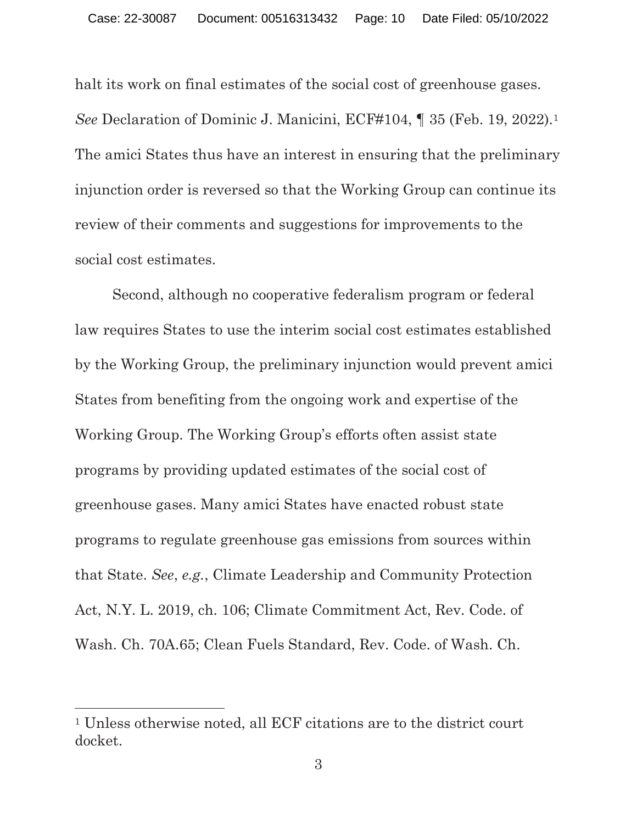halt its work on final estimates of the social cost of greenhouse gases. *See* Declaration of Dominic J. Manicini, ECF#104, ¶ 35 (Feb. 19, 2022).1 The amici States thus have an interest in ensuring that the preliminary injunction order is reversed so that the Working Group can continue its review of their comments and suggestions for improvements to the social cost estimates.

 Second, although no cooperative federalism program or federal law requires States to use the interim social cost estimates established by the Working Group, the preliminary injunction would prevent amici States from benefiting from the ongoing work and expertise of the Working Group. The Working Group's efforts often assist state programs by providing updated estimates of the social cost of greenhouse gases. Many amici States have enacted robust state programs to regulate greenhouse gas emissions from sources within that State. *See*, *e.g.*, Climate Leadership and Community Protection Act, N.Y. L. 2019, ch. 106; Climate Commitment Act, Rev. Code. of Wash. Ch. 70A.65; Clean Fuels Standard, Rev. Code. of Wash. Ch.

<sup>1</sup> Unless otherwise noted, all ECF citations are to the district court docket.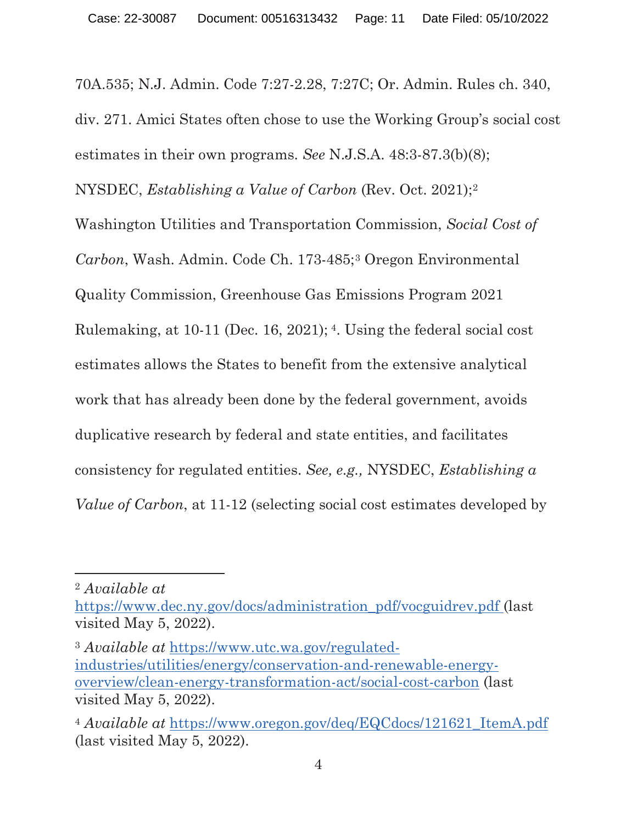70A.535; N.J. Admin. Code 7:27-2.28, 7:27C; Or. Admin. Rules ch. 340, div. 271. Amici States often chose to use the Working Group's social cost estimates in their own programs. *See* N.J.S.A. 48:3-87.3(b)(8); NYSDEC, *Establishing a Value of Carbon* (Rev. Oct. 2021);2 Washington Utilities and Transportation Commission, *Social Cost of Carbon*, Wash. Admin. Code Ch. 173-485;3 Oregon Environmental Quality Commission, Greenhouse Gas Emissions Program 2021 Rulemaking, at 10-11 (Dec. 16, 2021); 4. Using the federal social cost estimates allows the States to benefit from the extensive analytical work that has already been done by the federal government, avoids duplicative research by federal and state entities, and facilitates consistency for regulated entities. *See, e.g.,* NYSDEC, *Establishing a Value of Carbon*, at 11-12 (selecting social cost estimates developed by

<sup>2</sup> *Available at* 

https://www.dec.ny.gov/docs/administration\_pdf/vocguidrev.pdf (last) visited May 5, 2022).

<sup>3</sup> *Available at* https://www.utc.wa.gov/regulatedindustries/utilities/energy/conservation-and-renewable-energyoverview/clean-energy-transformation-act/social-cost-carbon (last visited May 5, 2022).

<sup>&</sup>lt;sup>4</sup> *Available at https://www.oregon.gov/deq/EQCdocs/121621 ItemA.pdf* (last visited May 5, 2022).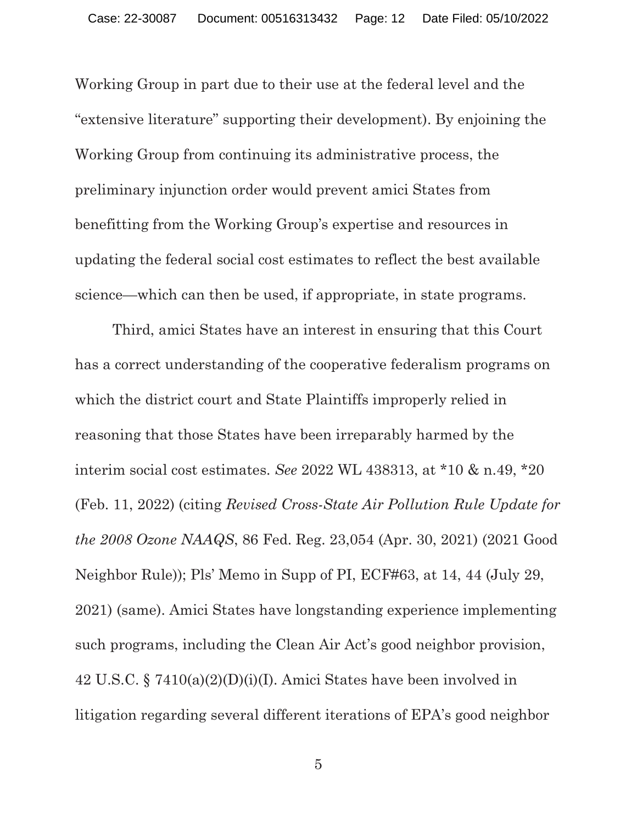Working Group in part due to their use at the federal level and the "extensive literature" supporting their development). By enjoining the Working Group from continuing its administrative process, the preliminary injunction order would prevent amici States from benefitting from the Working Group's expertise and resources in updating the federal social cost estimates to reflect the best available science—which can then be used, if appropriate, in state programs.

Third, amici States have an interest in ensuring that this Court has a correct understanding of the cooperative federalism programs on which the district court and State Plaintiffs improperly relied in reasoning that those States have been irreparably harmed by the interim social cost estimates. *See* 2022 WL 438313, at \*10 & n.49, \*20 (Feb. 11, 2022) (citing *Revised Cross-State Air Pollution Rule Update for the 2008 Ozone NAAQS*, 86 Fed. Reg. 23,054 (Apr. 30, 2021) (2021 Good Neighbor Rule)); Pls' Memo in Supp of PI, ECF#63, at 14, 44 (July 29, 2021) (same). Amici States have longstanding experience implementing such programs, including the Clean Air Act's good neighbor provision, 42 U.S.C. § 7410(a)(2)(D)(i)(I). Amici States have been involved in litigation regarding several different iterations of EPA's good neighbor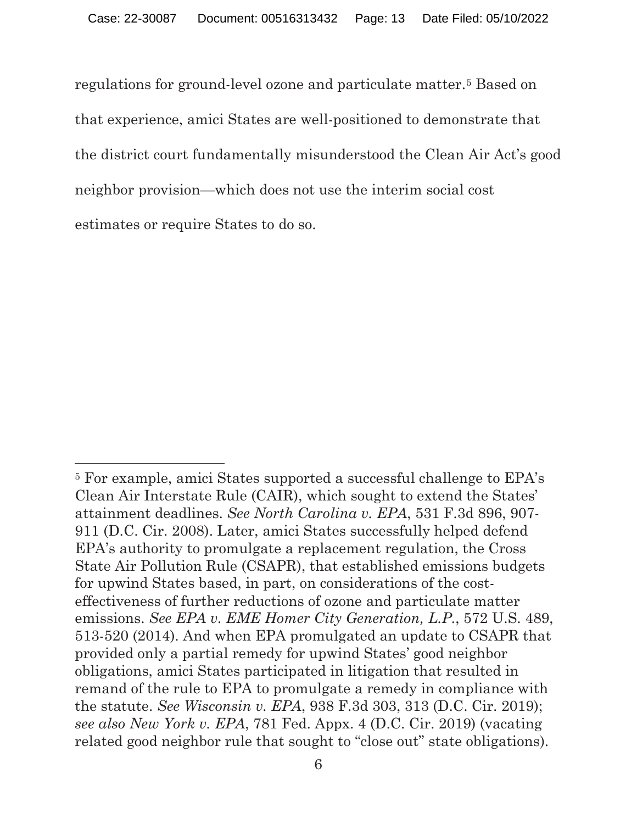regulations for ground-level ozone and particulate matter.5 Based on that experience, amici States are well-positioned to demonstrate that the district court fundamentally misunderstood the Clean Air Act's good neighbor provision—which does not use the interim social cost estimates or require States to do so.

<sup>5</sup> For example, amici States supported a successful challenge to EPA's Clean Air Interstate Rule (CAIR), which sought to extend the States' attainment deadlines. *See North Carolina v. EPA*, 531 F.3d 896, 907- 911 (D.C. Cir. 2008). Later, amici States successfully helped defend EPA's authority to promulgate a replacement regulation, the Cross State Air Pollution Rule (CSAPR), that established emissions budgets for upwind States based, in part, on considerations of the costeffectiveness of further reductions of ozone and particulate matter emissions. *See EPA v. EME Homer City Generation, L.P.*, 572 U.S. 489, 513-520 (2014). And when EPA promulgated an update to CSAPR that provided only a partial remedy for upwind States' good neighbor obligations, amici States participated in litigation that resulted in remand of the rule to EPA to promulgate a remedy in compliance with the statute. *See Wisconsin v. EPA*, 938 F.3d 303, 313 (D.C. Cir. 2019); *see also New York v. EPA*, 781 Fed. Appx. 4 (D.C. Cir. 2019) (vacating related good neighbor rule that sought to "close out" state obligations).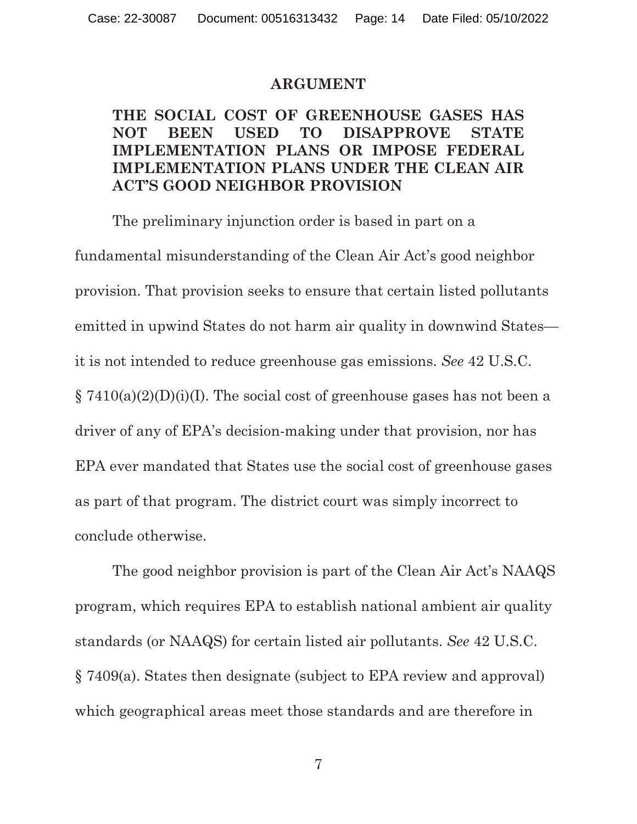#### **ARGUMENT**

#### **THE SOCIAL COST OF GREENHOUSE GASES HAS NOT BEEN USED TO DISAPPROVE STATE IMPLEMENTATION PLANS OR IMPOSE FEDERAL IMPLEMENTATION PLANS UNDER THE CLEAN AIR ACT'S GOOD NEIGHBOR PROVISION**

The preliminary injunction order is based in part on a fundamental misunderstanding of the Clean Air Act's good neighbor provision. That provision seeks to ensure that certain listed pollutants emitted in upwind States do not harm air quality in downwind States it is not intended to reduce greenhouse gas emissions. *See* 42 U.S.C.  $\S 7410(a)(2)(D)(i)(I)$ . The social cost of greenhouse gases has not been a driver of any of EPA's decision-making under that provision, nor has EPA ever mandated that States use the social cost of greenhouse gases as part of that program. The district court was simply incorrect to conclude otherwise.

The good neighbor provision is part of the Clean Air Act's NAAQS program, which requires EPA to establish national ambient air quality standards (or NAAQS) for certain listed air pollutants. *See* 42 U.S.C. § 7409(a). States then designate (subject to EPA review and approval) which geographical areas meet those standards and are therefore in

7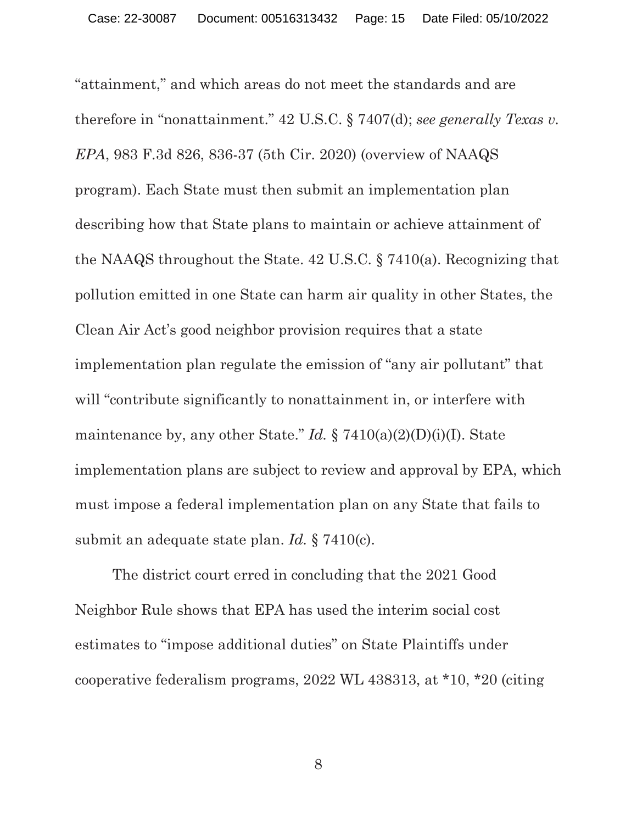"attainment," and which areas do not meet the standards and are therefore in "nonattainment." 42 U.S.C. § 7407(d); *see generally Texas v. EPA*, 983 F.3d 826, 836-37 (5th Cir. 2020) (overview of NAAQS program). Each State must then submit an implementation plan describing how that State plans to maintain or achieve attainment of the NAAQS throughout the State. 42 U.S.C. § 7410(a). Recognizing that pollution emitted in one State can harm air quality in other States, the Clean Air Act's good neighbor provision requires that a state implementation plan regulate the emission of "any air pollutant" that will "contribute significantly to nonattainment in, or interfere with maintenance by, any other State." *Id.*  $\S 7410(a)(2)(D)(i)(I)$ . State implementation plans are subject to review and approval by EPA, which must impose a federal implementation plan on any State that fails to submit an adequate state plan. *Id.* § 7410(c).

The district court erred in concluding that the 2021 Good Neighbor Rule shows that EPA has used the interim social cost estimates to "impose additional duties" on State Plaintiffs under cooperative federalism programs, 2022 WL 438313, at \*10, \*20 (citing

8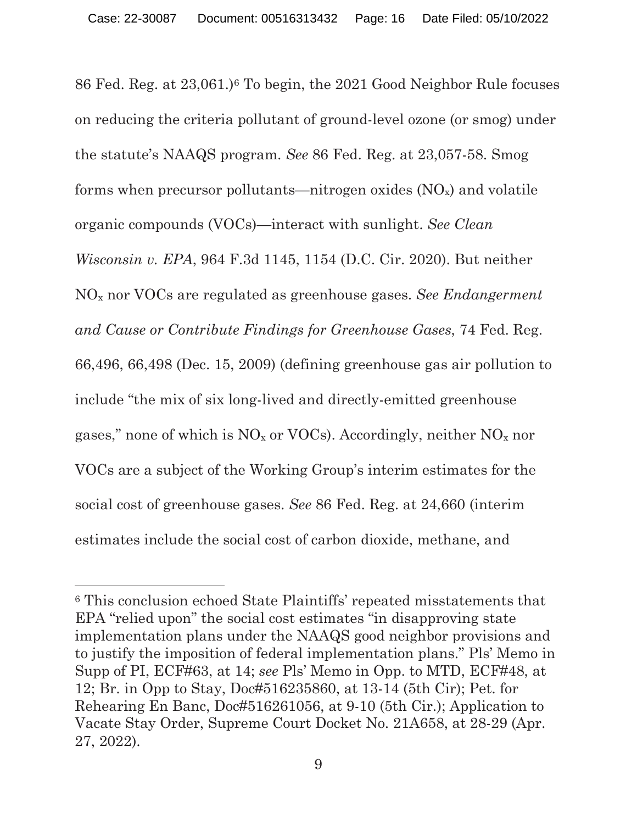86 Fed. Reg. at 23,061.)6 To begin, the 2021 Good Neighbor Rule focuses on reducing the criteria pollutant of ground-level ozone (or smog) under the statute's NAAQS program. *See* 86 Fed. Reg. at 23,057-58. Smog forms when precursor pollutants—nitrogen oxides  $(NO_x)$  and volatile organic compounds (VOCs)—interact with sunlight. *See Clean Wisconsin v. EPA*, 964 F.3d 1145, 1154 (D.C. Cir. 2020). But neither NOx nor VOCs are regulated as greenhouse gases. *See Endangerment and Cause or Contribute Findings for Greenhouse Gases*, 74 Fed. Reg. 66,496, 66,498 (Dec. 15, 2009) (defining greenhouse gas air pollution to include "the mix of six long-lived and directly-emitted greenhouse gases," none of which is  $NO<sub>x</sub>$  or VOCs). Accordingly, neither  $NO<sub>x</sub>$  nor VOCs are a subject of the Working Group's interim estimates for the social cost of greenhouse gases. *See* 86 Fed. Reg. at 24,660 (interim estimates include the social cost of carbon dioxide, methane, and

<sup>6</sup> This conclusion echoed State Plaintiffs' repeated misstatements that EPA "relied upon" the social cost estimates "in disapproving state implementation plans under the NAAQS good neighbor provisions and to justify the imposition of federal implementation plans." Pls' Memo in Supp of PI, ECF#63, at 14; *see* Pls' Memo in Opp. to MTD, ECF#48, at 12; Br. in Opp to Stay, Doc#516235860, at 13-14 (5th Cir); Pet. for Rehearing En Banc, Doc#516261056, at 9-10 (5th Cir.); Application to Vacate Stay Order, Supreme Court Docket No. 21A658, at 28-29 (Apr. 27, 2022).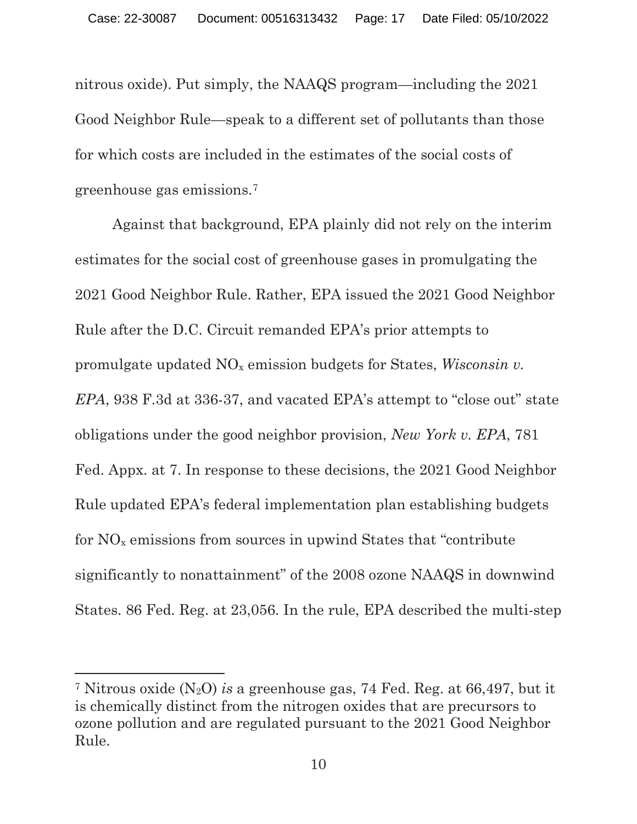nitrous oxide). Put simply, the NAAQS program—including the 2021 Good Neighbor Rule—speak to a different set of pollutants than those for which costs are included in the estimates of the social costs of greenhouse gas emissions.7

Against that background, EPA plainly did not rely on the interim estimates for the social cost of greenhouse gases in promulgating the 2021 Good Neighbor Rule. Rather, EPA issued the 2021 Good Neighbor Rule after the D.C. Circuit remanded EPA's prior attempts to promulgate updated NOx emission budgets for States, *Wisconsin v. EPA*, 938 F.3d at 336-37, and vacated EPA's attempt to "close out" state obligations under the good neighbor provision, *New York v. EPA*, 781 Fed. Appx. at 7. In response to these decisions, the 2021 Good Neighbor Rule updated EPA's federal implementation plan establishing budgets for  $NO<sub>x</sub>$  emissions from sources in upwind States that "contribute" significantly to nonattainment" of the 2008 ozone NAAQS in downwind States. 86 Fed. Reg. at 23,056. In the rule, EPA described the multi-step

<sup>7</sup> Nitrous oxide (N2O) *is* a greenhouse gas, 74 Fed. Reg. at 66,497, but it is chemically distinct from the nitrogen oxides that are precursors to ozone pollution and are regulated pursuant to the 2021 Good Neighbor Rule.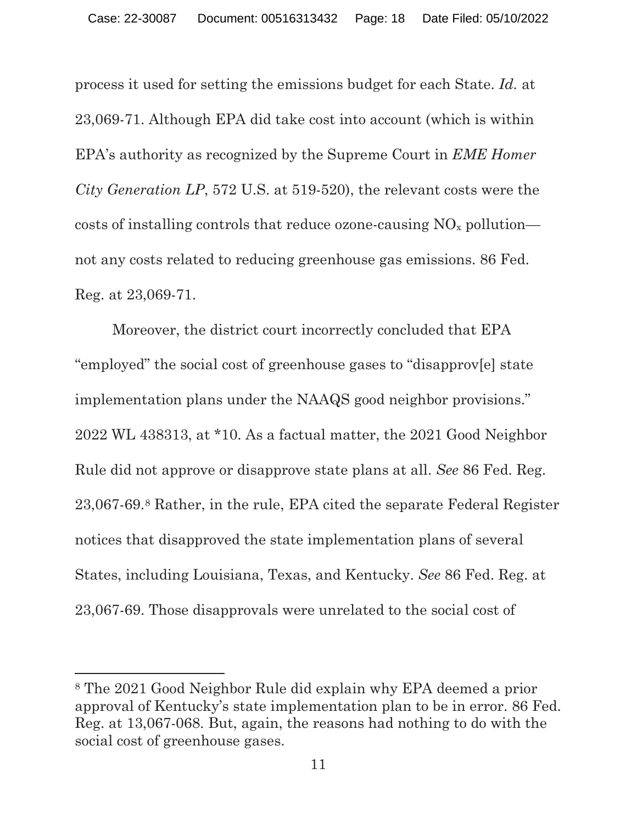process it used for setting the emissions budget for each State. *Id.* at 23,069-71. Although EPA did take cost into account (which is within EPA's authority as recognized by the Supreme Court in *EME Homer City Generation LP*, 572 U.S. at 519-520), the relevant costs were the costs of installing controls that reduce ozone-causing  $NO<sub>x</sub>$  pollution not any costs related to reducing greenhouse gas emissions. 86 Fed. Reg. at 23,069-71.

Moreover, the district court incorrectly concluded that EPA "employed" the social cost of greenhouse gases to "disapprov[e] state implementation plans under the NAAQS good neighbor provisions." 2022 WL 438313, at \*10. As a factual matter, the 2021 Good Neighbor Rule did not approve or disapprove state plans at all. *See* 86 Fed. Reg. 23,067-69.8 Rather, in the rule, EPA cited the separate Federal Register notices that disapproved the state implementation plans of several States, including Louisiana, Texas, and Kentucky. *See* 86 Fed. Reg. at 23,067-69. Those disapprovals were unrelated to the social cost of

<sup>8</sup> The 2021 Good Neighbor Rule did explain why EPA deemed a prior approval of Kentucky's state implementation plan to be in error. 86 Fed. Reg. at 13,067-068. But, again, the reasons had nothing to do with the social cost of greenhouse gases.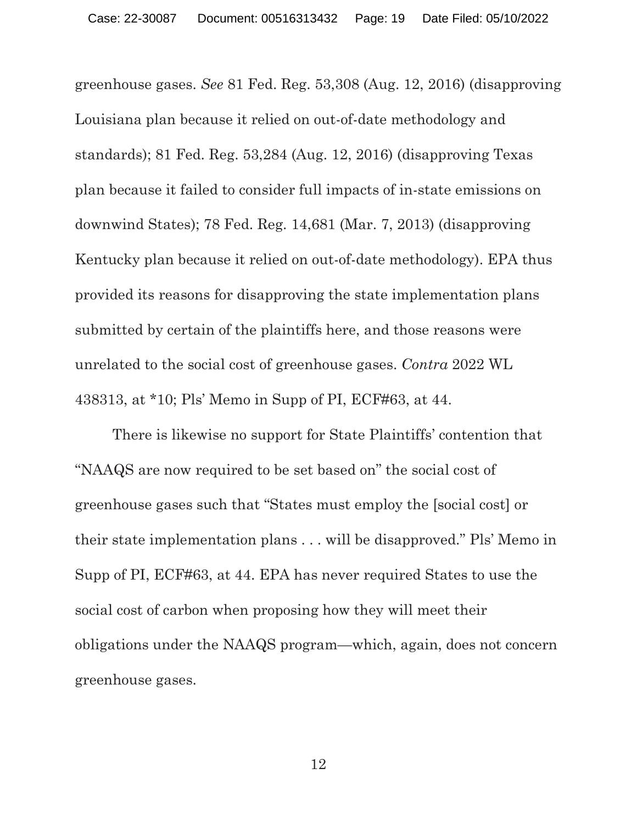greenhouse gases. *See* 81 Fed. Reg. 53,308 (Aug. 12, 2016) (disapproving Louisiana plan because it relied on out-of-date methodology and standards); 81 Fed. Reg. 53,284 (Aug. 12, 2016) (disapproving Texas plan because it failed to consider full impacts of in-state emissions on downwind States); 78 Fed. Reg. 14,681 (Mar. 7, 2013) (disapproving Kentucky plan because it relied on out-of-date methodology). EPA thus provided its reasons for disapproving the state implementation plans submitted by certain of the plaintiffs here, and those reasons were unrelated to the social cost of greenhouse gases. *Contra* 2022 WL 438313, at \*10; Pls' Memo in Supp of PI, ECF#63, at 44.

There is likewise no support for State Plaintiffs' contention that "NAAQS are now required to be set based on" the social cost of greenhouse gases such that "States must employ the [social cost] or their state implementation plans . . . will be disapproved." Pls' Memo in Supp of PI, ECF#63, at 44. EPA has never required States to use the social cost of carbon when proposing how they will meet their obligations under the NAAQS program—which, again, does not concern greenhouse gases.

12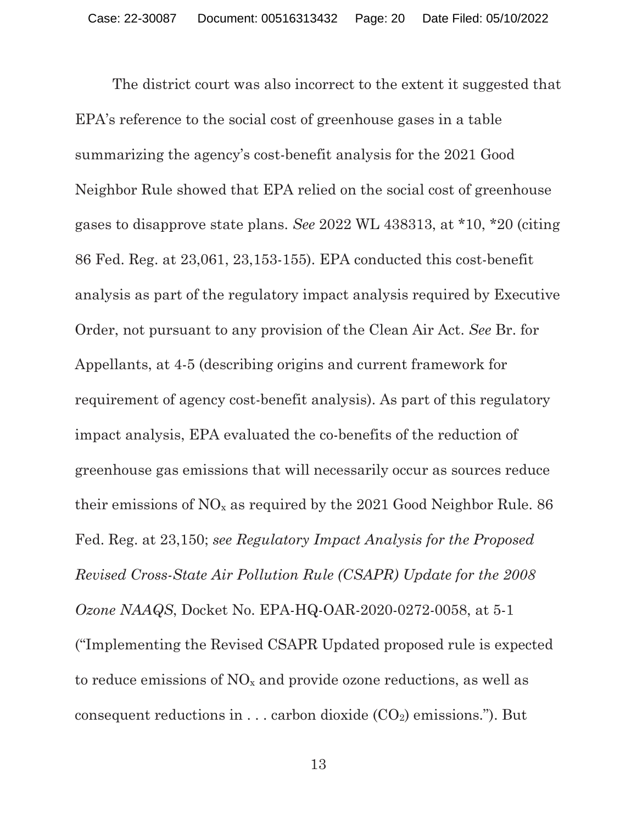The district court was also incorrect to the extent it suggested that EPA's reference to the social cost of greenhouse gases in a table summarizing the agency's cost-benefit analysis for the 2021 Good Neighbor Rule showed that EPA relied on the social cost of greenhouse gases to disapprove state plans. *See* 2022 WL 438313, at \*10, \*20 (citing 86 Fed. Reg. at 23,061, 23,153-155). EPA conducted this cost-benefit analysis as part of the regulatory impact analysis required by Executive Order, not pursuant to any provision of the Clean Air Act. *See* Br. for Appellants, at 4-5 (describing origins and current framework for requirement of agency cost-benefit analysis). As part of this regulatory impact analysis, EPA evaluated the co-benefits of the reduction of greenhouse gas emissions that will necessarily occur as sources reduce their emissions of  $NO<sub>x</sub>$  as required by the 2021 Good Neighbor Rule. 86 Fed. Reg. at 23,150; *see Regulatory Impact Analysis for the Proposed Revised Cross-State Air Pollution Rule (CSAPR) Update for the 2008 Ozone NAAQS*, Docket No. EPA-HQ-OAR-2020-0272-0058, at 5-1 ("Implementing the Revised CSAPR Updated proposed rule is expected to reduce emissions of  $NO<sub>x</sub>$  and provide ozone reductions, as well as consequent reductions in  $\dots$  carbon dioxide  $(CO_2)$  emissions."). But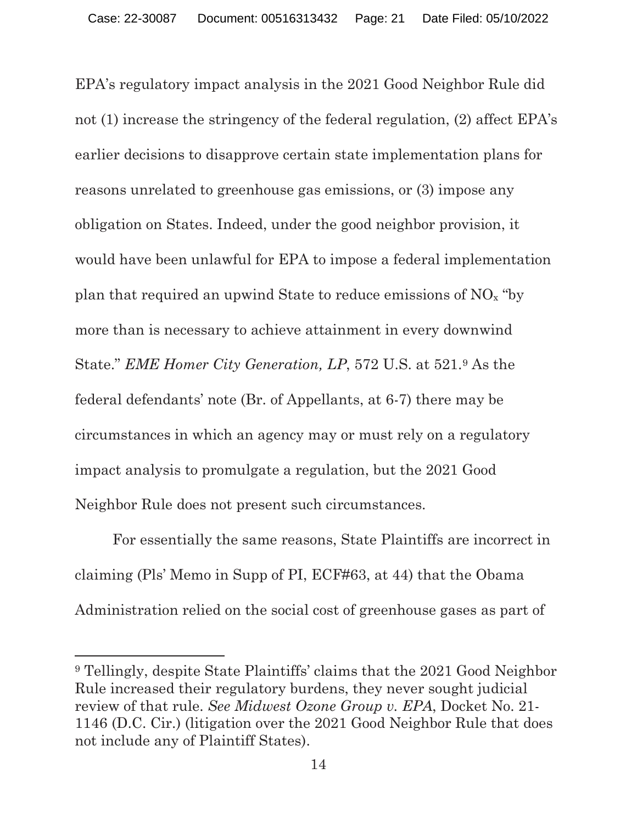EPA's regulatory impact analysis in the 2021 Good Neighbor Rule did not (1) increase the stringency of the federal regulation, (2) affect EPA's earlier decisions to disapprove certain state implementation plans for reasons unrelated to greenhouse gas emissions, or (3) impose any obligation on States. Indeed, under the good neighbor provision, it would have been unlawful for EPA to impose a federal implementation plan that required an upwind State to reduce emissions of  $NO<sub>x</sub>$  "by more than is necessary to achieve attainment in every downwind State." *EME Homer City Generation, LP*, 572 U.S. at 521.9 As the federal defendants' note (Br. of Appellants, at 6-7) there may be circumstances in which an agency may or must rely on a regulatory impact analysis to promulgate a regulation, but the 2021 Good Neighbor Rule does not present such circumstances.

For essentially the same reasons, State Plaintiffs are incorrect in claiming (Pls' Memo in Supp of PI, ECF#63, at 44) that the Obama Administration relied on the social cost of greenhouse gases as part of

<sup>9</sup> Tellingly, despite State Plaintiffs' claims that the 2021 Good Neighbor Rule increased their regulatory burdens, they never sought judicial review of that rule. *See Midwest Ozone Group v. EPA*, Docket No. 21- 1146 (D.C. Cir.) (litigation over the 2021 Good Neighbor Rule that does not include any of Plaintiff States).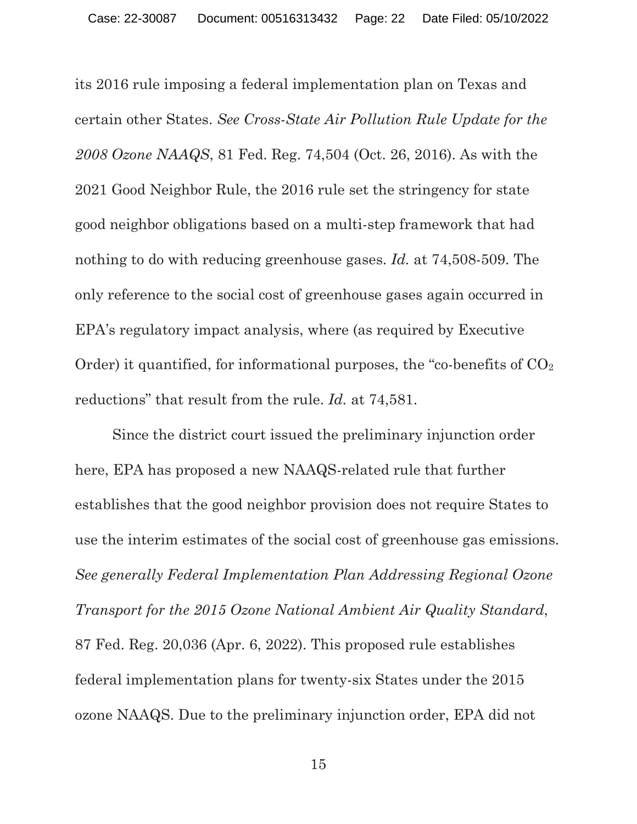its 2016 rule imposing a federal implementation plan on Texas and certain other States. *See Cross-State Air Pollution Rule Update for the 2008 Ozone NAAQS*, 81 Fed. Reg. 74,504 (Oct. 26, 2016). As with the 2021 Good Neighbor Rule, the 2016 rule set the stringency for state good neighbor obligations based on a multi-step framework that had nothing to do with reducing greenhouse gases. *Id.* at 74,508-509. The only reference to the social cost of greenhouse gases again occurred in EPA's regulatory impact analysis, where (as required by Executive Order) it quantified, for informational purposes, the "co-benefits of  $CO<sub>2</sub>$ reductions" that result from the rule. *Id.* at 74,581.

Since the district court issued the preliminary injunction order here, EPA has proposed a new NAAQS-related rule that further establishes that the good neighbor provision does not require States to use the interim estimates of the social cost of greenhouse gas emissions. *See generally Federal Implementation Plan Addressing Regional Ozone Transport for the 2015 Ozone National Ambient Air Quality Standard*, 87 Fed. Reg. 20,036 (Apr. 6, 2022). This proposed rule establishes federal implementation plans for twenty-six States under the 2015 ozone NAAQS. Due to the preliminary injunction order, EPA did not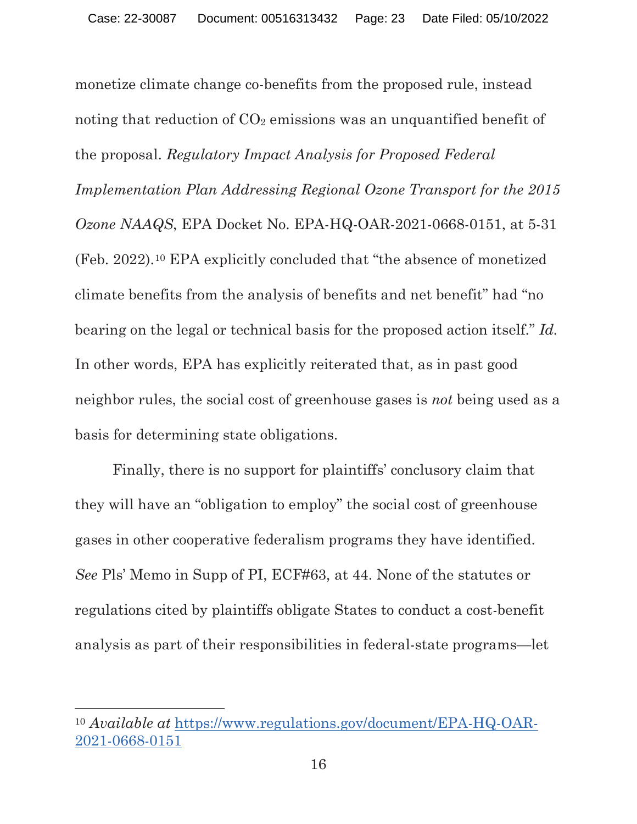monetize climate change co-benefits from the proposed rule, instead noting that reduction of  $CO<sub>2</sub>$  emissions was an unquantified benefit of the proposal. *Regulatory Impact Analysis for Proposed Federal Implementation Plan Addressing Regional Ozone Transport for the 2015 Ozone NAAQS*, EPA Docket No. EPA-HQ-OAR-2021-0668-0151, at 5-31 (Feb. 2022).10 EPA explicitly concluded that "the absence of monetized climate benefits from the analysis of benefits and net benefit" had "no bearing on the legal or technical basis for the proposed action itself." *Id.*  In other words, EPA has explicitly reiterated that, as in past good neighbor rules, the social cost of greenhouse gases is *not* being used as a basis for determining state obligations.

Finally, there is no support for plaintiffs' conclusory claim that they will have an "obligation to employ" the social cost of greenhouse gases in other cooperative federalism programs they have identified. *See* Pls' Memo in Supp of PI, ECF#63, at 44. None of the statutes or regulations cited by plaintiffs obligate States to conduct a cost-benefit analysis as part of their responsibilities in federal-state programs—let

<sup>10</sup> *Available at* https://www.regulations.gov/document/EPA-HQ-OAR-2021-0668-0151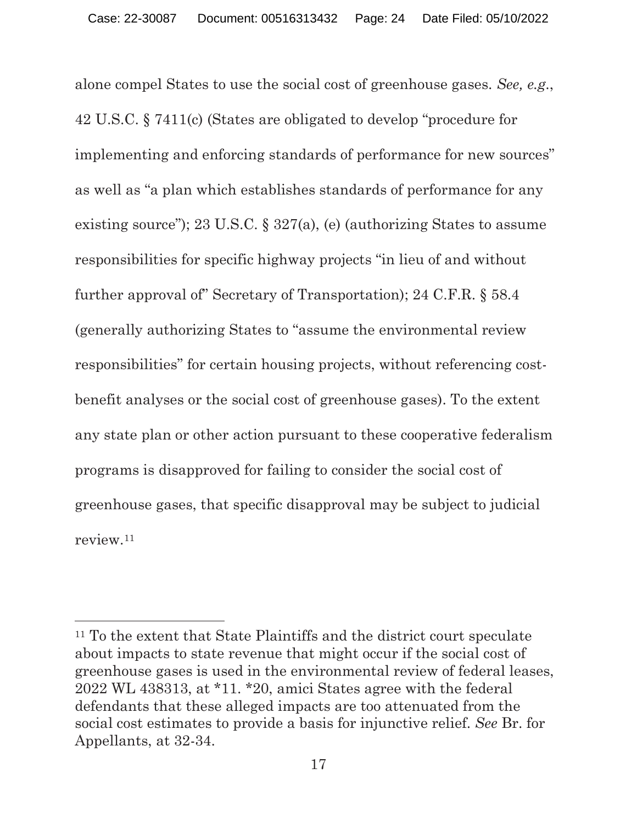alone compel States to use the social cost of greenhouse gases. *See, e.g*., 42 U.S.C. § 7411(c) (States are obligated to develop "procedure for implementing and enforcing standards of performance for new sources" as well as "a plan which establishes standards of performance for any existing source"); 23 U.S.C. § 327(a), (e) (authorizing States to assume responsibilities for specific highway projects "in lieu of and without further approval of" Secretary of Transportation); 24 C.F.R. § 58.4 (generally authorizing States to "assume the environmental review responsibilities" for certain housing projects, without referencing costbenefit analyses or the social cost of greenhouse gases). To the extent any state plan or other action pursuant to these cooperative federalism programs is disapproved for failing to consider the social cost of greenhouse gases, that specific disapproval may be subject to judicial review.11

<sup>11</sup> To the extent that State Plaintiffs and the district court speculate about impacts to state revenue that might occur if the social cost of greenhouse gases is used in the environmental review of federal leases, 2022 WL 438313, at \*11. \*20, amici States agree with the federal defendants that these alleged impacts are too attenuated from the social cost estimates to provide a basis for injunctive relief. *See* Br. for Appellants, at 32-34.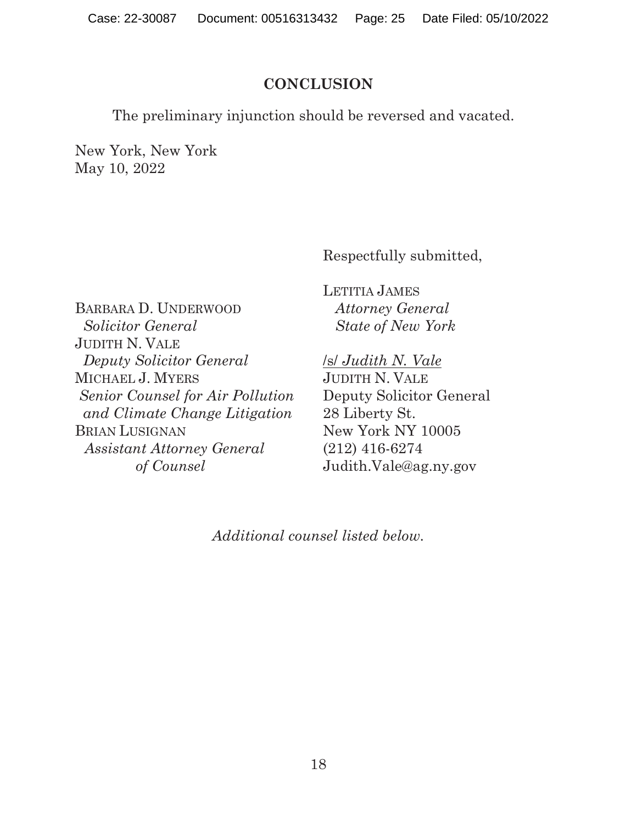#### **CONCLUSION**

The preliminary injunction should be reversed and vacated.

New York, New York May 10, 2022

Respectfully submitted,

BARBARA D. UNDERWOOD  *Solicitor General*  JUDITH N. VALE  *Deputy Solicitor General*  MICHAEL J. MYERS *Senior Counsel for Air Pollution and Climate Change Litigation*  BRIAN LUSIGNAN *Assistant Attorney General of Counsel* 

LETITIA JAMES  *Attorney General State of New York* 

/s/ *Judith N. Vale*  JUDITH N. VALE Deputy Solicitor General 28 Liberty St. New York NY 10005 (212) 416-6274 Judith.Vale@ag.ny.gov

*Additional counsel listed below.*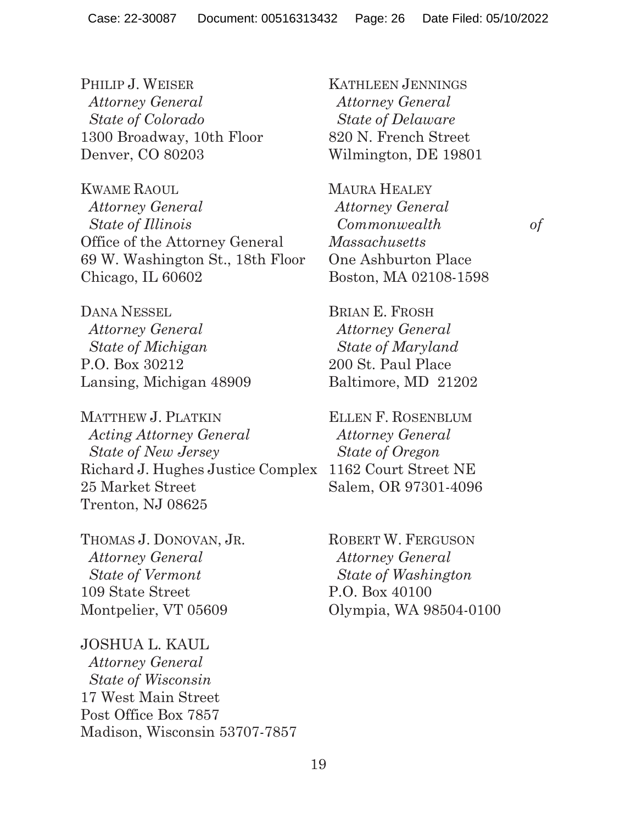PHILIP J. WEISER *Attorney General State of Colorado*  1300 Broadway, 10th Floor Denver, CO 80203

KWAME RAOUL  *Attorney General State of Illinois*  Office of the Attorney General 69 W. Washington St., 18th Floor Chicago, IL 60602

DANA NESSEL  *Attorney General State of Michigan*  P.O. Box 30212 Lansing, Michigan 48909

MATTHEW J. PLATKIN  *Acting Attorney General State of New Jersey*  Richard J. Hughes Justice Complex 1162 Court Street NE 25 Market Street Trenton, NJ 08625

THOMAS J. DONOVAN, JR.  *Attorney General State of Vermont*  109 State Street Montpelier, VT 05609

JOSHUA L. KAUL  *Attorney General State of Wisconsin*  17 West Main Street Post Office Box 7857 Madison, Wisconsin 53707-7857 KATHLEEN JENNINGS  *Attorney General State of Delaware*  820 N. French Street Wilmington, DE 19801

MAURA HEALEY *Attorney General Commonwealth of Massachusetts*  One Ashburton Place Boston, MA 02108-1598

BRIAN E. FROSH  *Attorney General State of Maryland*  200 St. Paul Place Baltimore, MD 21202

ELLEN F. ROSENBLUM  *Attorney General State of Oregon*  Salem, OR 97301-4096

ROBERT W. FERGUSON  *Attorney General State of Washington*  P.O. Box 40100 Olympia, WA 98504-0100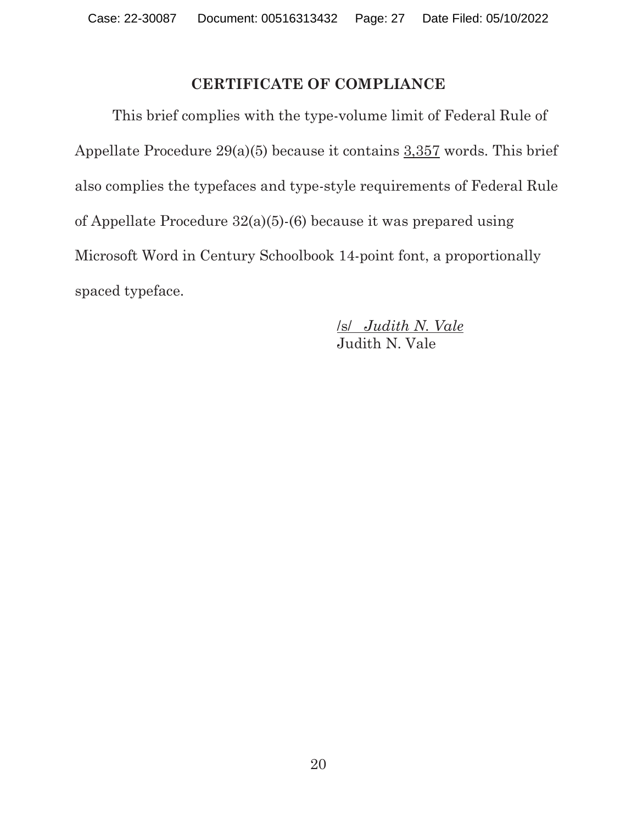#### **CERTIFICATE OF COMPLIANCE**

 This brief complies with the type-volume limit of Federal Rule of Appellate Procedure 29(a)(5) because it contains 3,357 words. This brief also complies the typefaces and type-style requirements of Federal Rule of Appellate Procedure 32(a)(5)-(6) because it was prepared using Microsoft Word in Century Schoolbook 14-point font, a proportionally spaced typeface.

> /s/ *Judith N. Vale*  Judith N. Vale